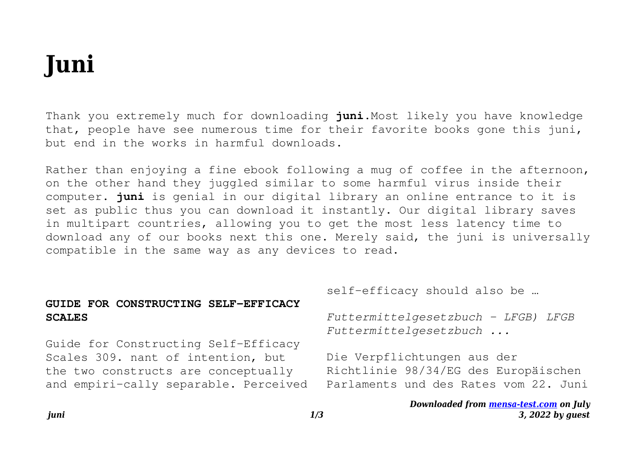## **Juni**

Thank you extremely much for downloading **juni**.Most likely you have knowledge that, people have see numerous time for their favorite books gone this juni, but end in the works in harmful downloads.

Rather than enjoying a fine ebook following a mug of coffee in the afternoon, on the other hand they juggled similar to some harmful virus inside their computer. **juni** is genial in our digital library an online entrance to it is set as public thus you can download it instantly. Our digital library saves in multipart countries, allowing you to get the most less latency time to download any of our books next this one. Merely said, the juni is universally compatible in the same way as any devices to read.

|                                                                                                                                                            | self-efficacy should also be                                                                                 |
|------------------------------------------------------------------------------------------------------------------------------------------------------------|--------------------------------------------------------------------------------------------------------------|
| GUIDE FOR CONSTRUCTING SELF-EFFICACY<br><b>SCALES</b>                                                                                                      | Futtermittelgesetzbuch - LFGB) LFGB<br>Futtermittelgesetzbuch                                                |
| Guide for Constructing Self-Efficacy<br>Scales 309. nant of intention, but<br>the two constructs are conceptually<br>and empiri-cally separable. Perceived | Die Verpflichtungen aus der<br>Richtlinie 98/34/EG des Europäischen<br>Parlaments und des Rates vom 22. Juni |
|                                                                                                                                                            | Downloaded from mensa-test.com on July                                                                       |

*3, 2022 by guest*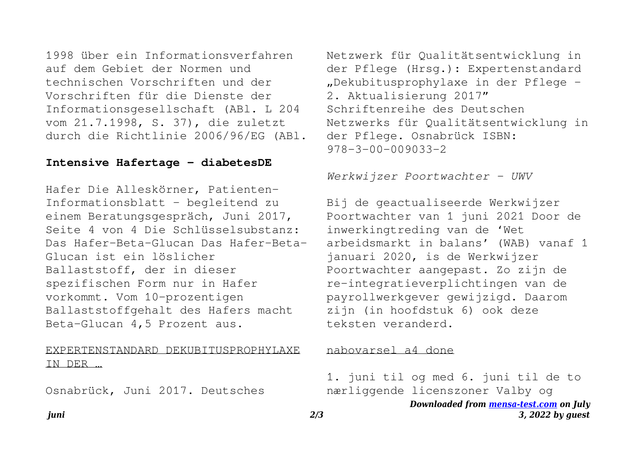1998 über ein Informationsverfahren auf dem Gebiet der Normen und technischen Vorschriften und der Vorschriften für die Dienste der Informationsgesellschaft (ABl. L 204 vom 21.7.1998, S. 37), die zuletzt durch die Richtlinie 2006/96/EG (ABl.

## **Intensive Hafertage - diabetesDE**

Hafer Die Alleskörner, Patienten-Informationsblatt – begleitend zu einem Beratungsgespräch, Juni 2017, Seite 4 von 4 Die Schlüsselsubstanz: Das Hafer-Beta-Glucan Das Hafer-Beta-Glucan ist ein löslicher Ballaststoff, der in dieser spezifischen Form nur in Hafer vorkommt. Vom 10-prozentigen Ballaststoffgehalt des Hafers macht Beta-Glucan 4,5 Prozent aus.

EXPERTENSTANDARD DEKUBITUSPROPHYLAXE IN DER …

Osnabrück, Juni 2017. Deutsches

Netzwerk für Qualitätsentwicklung in der Pflege (Hrsg.): Expertenstandard "Dekubitusprophylaxe in der Pflege – 2. Aktualisierung 2017" Schriftenreihe des Deutschen Netzwerks für Qualitätsentwicklung in der Pflege. Osnabrück ISBN: 978-3-00-009033-2

*Werkwijzer Poortwachter - UWV*

Bij de geactualiseerde Werkwijzer Poortwachter van 1 juni 2021 Door de inwerkingtreding van de 'Wet arbeidsmarkt in balans' (WAB) vanaf 1 januari 2020, is de Werkwijzer Poortwachter aangepast. Zo zijn de re-integratieverplichtingen van de payrollwerkgever gewijzigd. Daarom zijn (in hoofdstuk 6) ook deze teksten veranderd.

## nabovarsel a4 done

*Downloaded from [mensa-test.com](https://mensa-test.com) on July* 1. juni til og med 6. juni til de to nærliggende licenszoner Valby og

*3, 2022 by guest*

*juni 2/3*